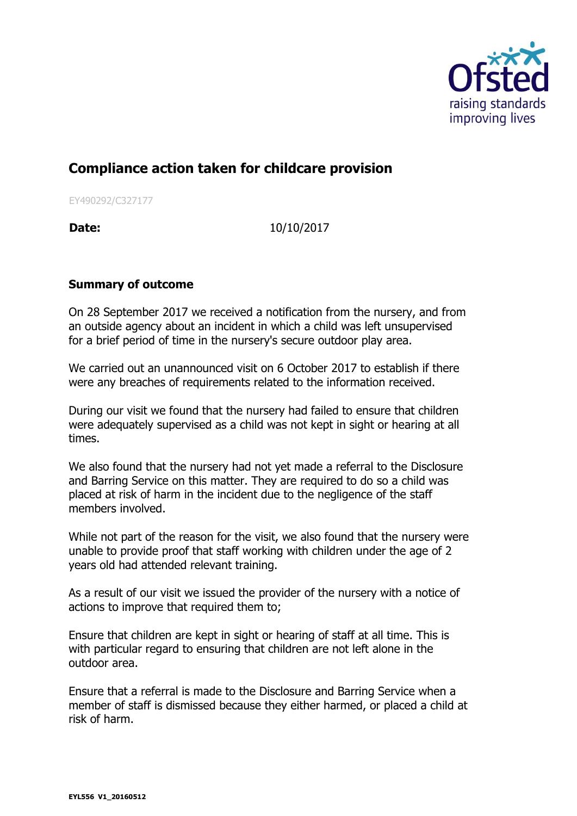

## **Compliance action taken for childcare provision**

EY490292/C327177

**Date:** 10/10/2017

## **Summary of outcome**

On 28 September 2017 we received a notification from the nursery, and from an outside agency about an incident in which a child was left unsupervised for a brief period of time in the nursery's secure outdoor play area.

We carried out an unannounced visit on 6 October 2017 to establish if there were any breaches of requirements related to the information received.

During our visit we found that the nursery had failed to ensure that children were adequately supervised as a child was not kept in sight or hearing at all times.

We also found that the nursery had not yet made a referral to the Disclosure and Barring Service on this matter. They are required to do so a child was placed at risk of harm in the incident due to the negligence of the staff members involved.

While not part of the reason for the visit, we also found that the nursery were unable to provide proof that staff working with children under the age of 2 years old had attended relevant training.

As a result of our visit we issued the provider of the nursery with a notice of actions to improve that required them to;

Ensure that children are kept in sight or hearing of staff at all time. This is with particular regard to ensuring that children are not left alone in the outdoor area.

Ensure that a referral is made to the Disclosure and Barring Service when a member of staff is dismissed because they either harmed, or placed a child at risk of harm.